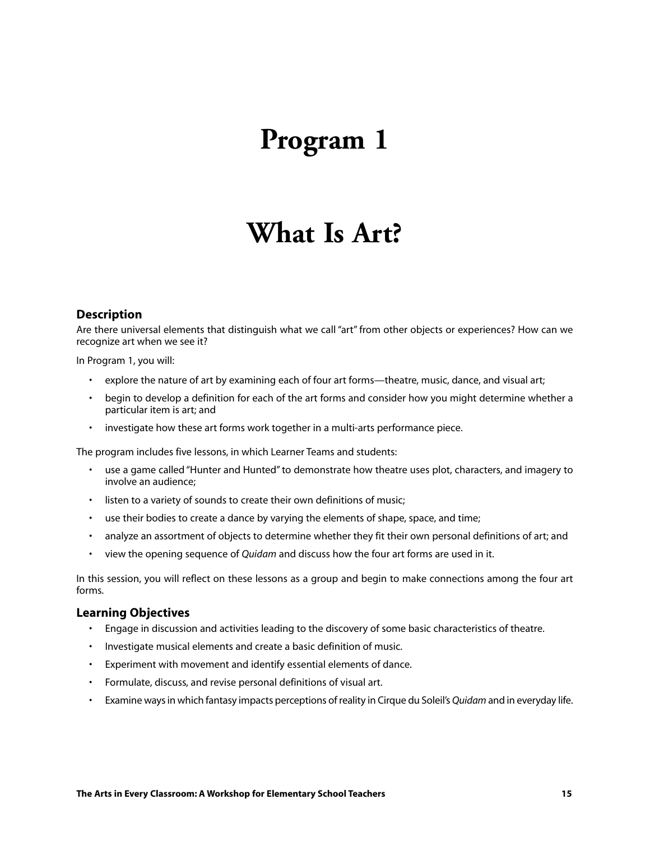## **Program 1**

## **What Is Art?**

#### **Description**

Are there universal elements that distinguish what we call "art" from other objects or experiences? How can we recognize art when we see it?

In Program 1, you will:

- explore the nature of art by examining each of four art forms—theatre, music, dance, and visual art;
- begin to develop a definition for each of the art forms and consider how you might determine whether a particular item is art; and
- investigate how these art forms work together in a multi-arts performance piece.

The program includes five lessons, in which Learner Teams and students:

- use a game called "Hunter and Hunted" to demonstrate how theatre uses plot, characters, and imagery to involve an audience;
- listen to a variety of sounds to create their own definitions of music;
- use their bodies to create a dance by varying the elements of shape, space, and time;
- analyze an assortment of objects to determine whether they fit their own personal definitions of art; and
- view the opening sequence of *Quidam* and discuss how the four art forms are used in it.

In this session, you will reflect on these lessons as a group and begin to make connections among the four art forms.

#### **Learning Objectives**

- Engage in discussion and activities leading to the discovery of some basic characteristics of theatre.
- Investigate musical elements and create a basic definition of music.
- Experiment with movement and identify essential elements of dance.
- Formulate, discuss, and revise personal definitions of visual art.
- Examine ways in which fantasy impacts perceptions of reality in Cirque du Soleil's *Quidam* and in everyday life.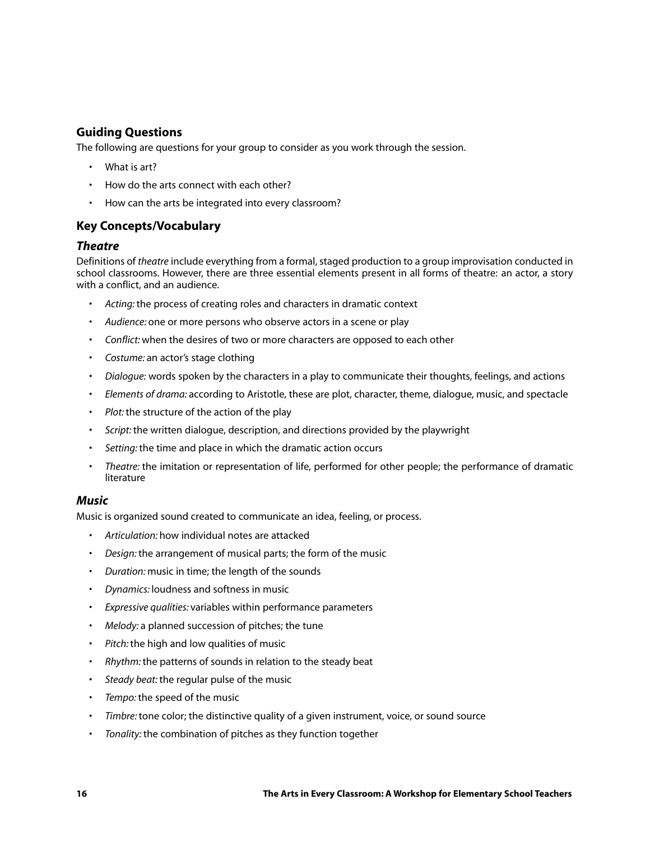### **Guiding Questions**

The following are questions for your group to consider as you work through the session.

- What is art?
- How do the arts connect with each other?
- How can the arts be integrated into every classroom?

### **Key Concepts/Vocabulary**

#### *Theatre*

Definitions of *theatre* include everything from a formal, staged production to a group improvisation conducted in school classrooms. However, there are three essential elements present in all forms of theatre: an actor, a story with a conflict, and an audience.

- *Acting:* the process of creating roles and characters in dramatic context
- *Audience:* one or more persons who observe actors in a scene or play
- *Conflict:* when the desires of two or more characters are opposed to each other
- *Costume:* an actor's stage clothing
- *Dialogue:* words spoken by the characters in a play to communicate their thoughts, feelings, and actions
- *Elements of drama:* according to Aristotle, these are plot, character, theme, dialogue, music, and spectacle
- *Plot:* the structure of the action of the play
- *Script:* the written dialogue, description, and directions provided by the playwright
- *Setting:* the time and place in which the dramatic action occurs
- *Theatre:* the imitation or representation of life, performed for other people; the performance of dramatic literature

#### *Music*

Music is organized sound created to communicate an idea, feeling, or process.

- *Articulation:* how individual notes are attacked
- *Design:* the arrangement of musical parts; the form of the music
- *Duration:* music in time; the length of the sounds
- *Dynamics:* loudness and softness in music
- *Expressive qualities:* variables within performance parameters
- *Melody:* a planned succession of pitches; the tune
- *Pitch:* the high and low qualities of music
- *Rhythm:* the patterns of sounds in relation to the steady beat
- *Steady beat:* the regular pulse of the music
- *Tempo:* the speed of the music
- *Timbre:* tone color; the distinctive quality of a given instrument, voice, or sound source
- *Tonality:* the combination of pitches as they function together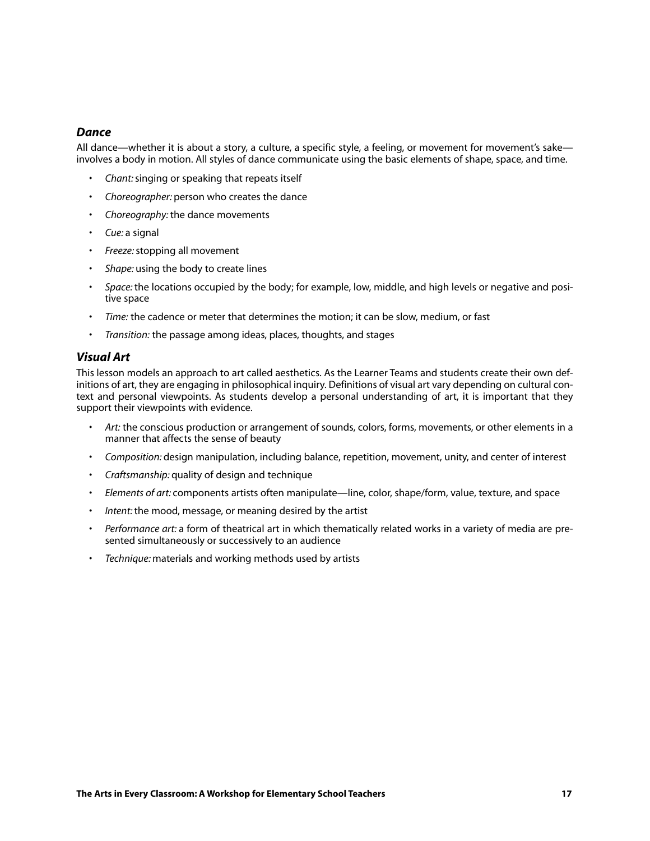#### *Dance*

All dance—whether it is about a story, a culture, a specific style, a feeling, or movement for movement's sake involves a body in motion. All styles of dance communicate using the basic elements of shape, space, and time.

- *Chant:*singing or speaking that repeats itself
- *Choreographer:* person who creates the dance
- *Choreography:* the dance movements
- *Cue:* a signal
- *Freeze:*stopping all movement
- *Shape:* using the body to create lines
- *Space:* the locations occupied by the body; for example, low, middle, and high levels or negative and positive space
- *Time:* the cadence or meter that determines the motion; it can be slow, medium, or fast
- *Transition:* the passage among ideas, places, thoughts, and stages

#### *Visual Art*

This lesson models an approach to art called aesthetics. As the Learner Teams and students create their own definitions of art, they are engaging in philosophical inquiry. Definitions of visual art vary depending on cultural context and personal viewpoints. As students develop a personal understanding of art, it is important that they support their viewpoints with evidence.

- *Art:* the conscious production or arrangement of sounds, colors, forms, movements, or other elements in a manner that affects the sense of beauty
- *Composition:* design manipulation, including balance, repetition, movement, unity, and center of interest
- *Craftsmanship:* quality of design and technique
- *Elements of art:* components artists often manipulate—line, color, shape/form, value, texture, and space
- *Intent:* the mood, message, or meaning desired by the artist
- *Performance art:* a form of theatrical art in which thematically related works in a variety of media are presented simultaneously or successively to an audience
- *Technique:* materials and working methods used by artists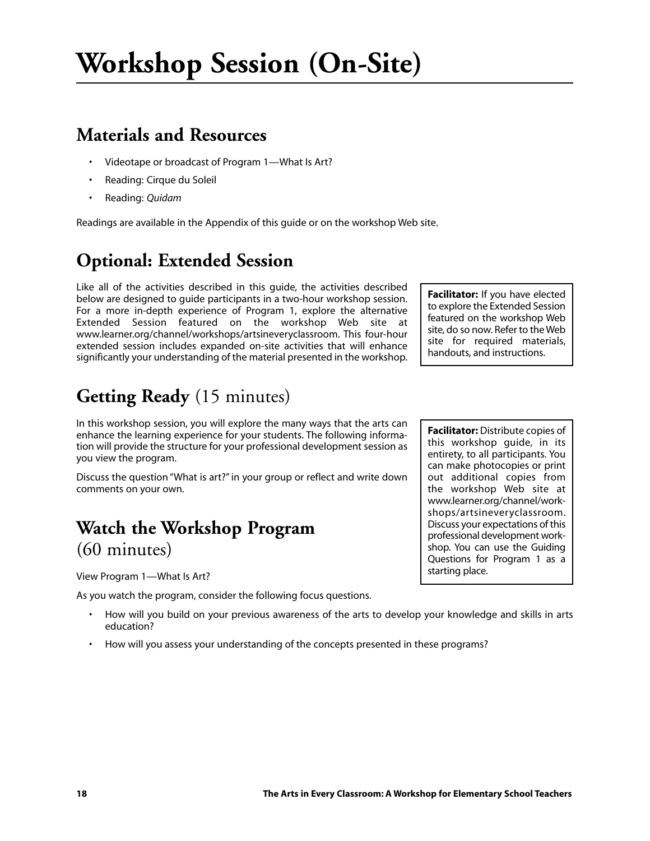### **Materials and Resources**

- Videotape or broadcast of Program 1—What Is Art?
- Reading: Cirque du Soleil
- Reading: *Quidam*

Readings are available in the Appendix of this guide or on the workshop Web site.

### **Optional: Extended Session**

Like all of the activities described in this guide, the activities described below are designed to guide participants in a two-hour workshop session. For a more in-depth experience of Program 1, explore the alternative Extended Session featured on the workshop Web site at www.learner.org/channel/workshops/artsineveryclassroom. This four-hour extended session includes expanded on-site activities that will enhance significantly your understanding of the material presented in the workshop.

### **Getting Ready** (15 minutes)

In this workshop session, you will explore the many ways that the arts can enhance the learning experience for your students. The following information will provide the structure for your professional development session as you view the program.

Discuss the question "What is art?" in your group or reflect and write down comments on your own.

### **Watch the Workshop Program**  (60 minutes)

View Program 1—What Is Art?

As you watch the program, consider the following focus questions.

- How will you build on your previous awareness of the arts to develop your knowledge and skills in arts education?
- How will you assess your understanding of the concepts presented in these programs?

**Facilitator:** If you have elected to explore the Extended Session featured on the workshop Web site, do so now. Refer to the Web site for required materials, handouts, and instructions.

**Facilitator:** Distribute copies of this workshop guide, in its entirety, to all participants. You can make photocopies or print out additional copies from the workshop Web site at www.learner.org/channel/workshops/artsineveryclassroom. Discuss your expectations of this professional development workshop. You can use the Guiding Questions for Program 1 as a starting place.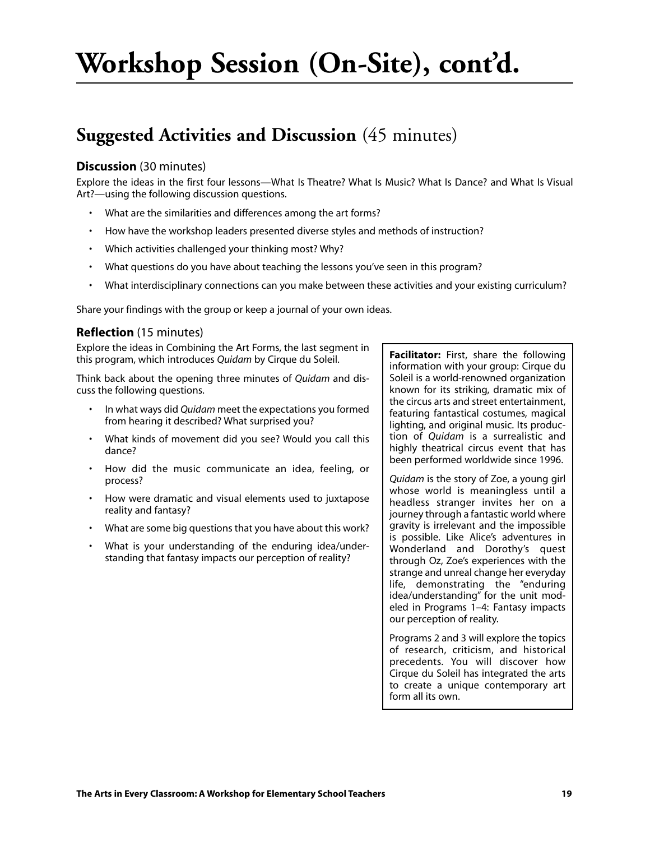# **Workshop Session (On-Site), cont'd.**

### **Suggested Activities and Discussion** (45 minutes)

#### **Discussion** (30 minutes)

Explore the ideas in the first four lessons—What Is Theatre? What Is Music? What Is Dance? and What Is Visual Art?—using the following discussion questions.

- What are the similarities and differences among the art forms?
- How have the workshop leaders presented diverse styles and methods of instruction?
- Which activities challenged your thinking most? Why?
- What questions do you have about teaching the lessons you've seen in this program?
- What interdisciplinary connections can you make between these activities and your existing curriculum?

Share your findings with the group or keep a journal of your own ideas.

#### **Reflection** (15 minutes)

Explore the ideas in Combining the Art Forms, the last segment in this program, which introduces *Quidam* by Cirque du Soleil.

Think back about the opening three minutes of *Quidam* and discuss the following questions.

- In what ways did *Quidam* meet the expectations you formed from hearing it described? What surprised you?
- What kinds of movement did you see? Would you call this dance?
- How did the music communicate an idea, feeling, or process?
- How were dramatic and visual elements used to juxtapose reality and fantasy?
- What are some big questions that you have about this work?
- What is your understanding of the enduring idea/understanding that fantasy impacts our perception of reality?

**Facilitator:** First, share the following information with your group: Cirque du Soleil is a world-renowned organization known for its striking, dramatic mix of the circus arts and street entertainment, featuring fantastical costumes, magical lighting, and original music. Its production of *Quidam* is a surrealistic and highly theatrical circus event that has been performed worldwide since 1996.

*Quidam* is the story of Zoe, a young girl whose world is meaningless until a headless stranger invites her on a journey through a fantastic world where gravity is irrelevant and the impossible is possible. Like Alice's adventures in Wonderland and Dorothy's quest through Oz, Zoe's experiences with the strange and unreal change her everyday life, demonstrating the "enduring idea/understanding" for the unit modeled in Programs 1–4: Fantasy impacts our perception of reality.

Programs 2 and 3 will explore the topics of research, criticism, and historical precedents. You will discover how Cirque du Soleil has integrated the arts to create a unique contemporary art form all its own.